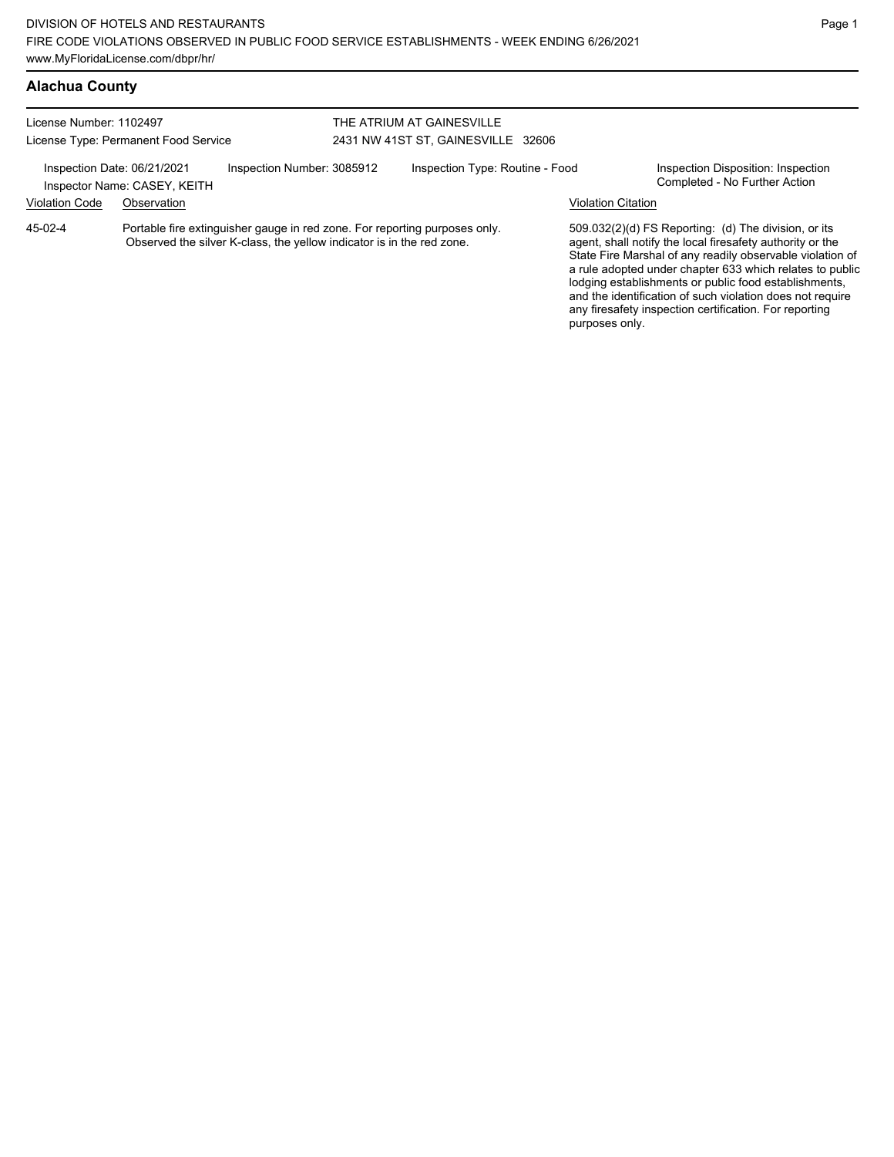| License Number: 1102497<br>License Type: Permanent Food Service<br>Inspection Number: 3085912<br>Inspection Date: 06/21/2021<br>Inspector Name: CASEY, KEITH |                                                                                                                                                     |  | THE ATRIUM AT GAINESVILLE<br>2431 NW 41ST ST, GAINESVILLE 32606 |             |  |                                                                                                                                                                                                                                                                                                                                                                  |  |
|--------------------------------------------------------------------------------------------------------------------------------------------------------------|-----------------------------------------------------------------------------------------------------------------------------------------------------|--|-----------------------------------------------------------------|-------------|--|------------------------------------------------------------------------------------------------------------------------------------------------------------------------------------------------------------------------------------------------------------------------------------------------------------------------------------------------------------------|--|
|                                                                                                                                                              |                                                                                                                                                     |  |                                                                 |             |  |                                                                                                                                                                                                                                                                                                                                                                  |  |
|                                                                                                                                                              |                                                                                                                                                     |  | <b>Violation Code</b>                                           | Observation |  |                                                                                                                                                                                                                                                                                                                                                                  |  |
| $45-02-4$                                                                                                                                                    | Portable fire extinguisher gauge in red zone. For reporting purposes only.<br>Observed the silver K-class, the yellow indicator is in the red zone. |  |                                                                 |             |  | 509.032(2)(d) FS Reporting: (d) The division, or its<br>agent, shall notify the local firesafety authority or the<br>State Fire Marshal of any readily observable violation of<br>a rule adopted under chapter 633 which relates to public<br>lodging establishments or public food establishments,<br>and the identification of such violation does not require |  |

any firesafety inspection certification. For reporting

purposes only.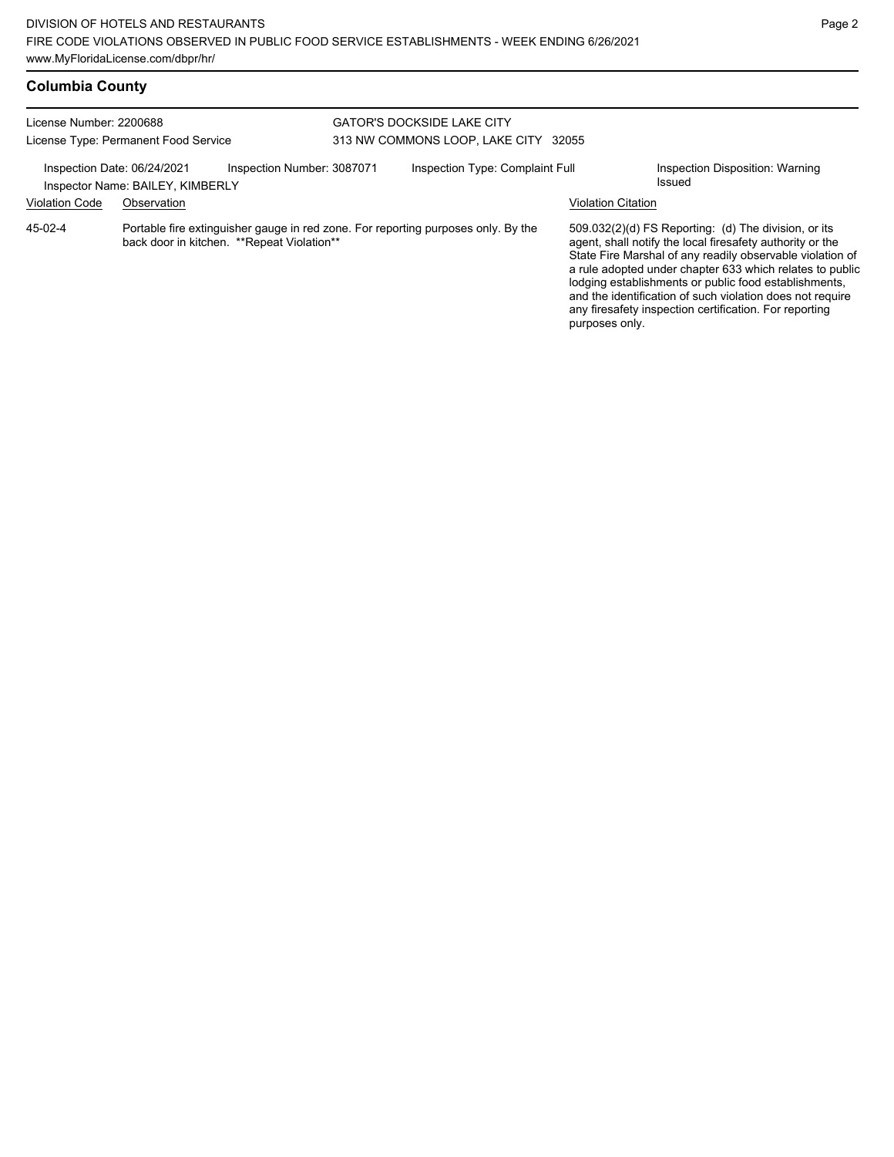| License Number: 2200688              |                                  |                                            | <b>GATOR'S DOCKSIDE LAKE CITY</b>    |                                                                                   |                           |                                                                                                                                                                                                                                                                                                                                                                                                                            |  |
|--------------------------------------|----------------------------------|--------------------------------------------|--------------------------------------|-----------------------------------------------------------------------------------|---------------------------|----------------------------------------------------------------------------------------------------------------------------------------------------------------------------------------------------------------------------------------------------------------------------------------------------------------------------------------------------------------------------------------------------------------------------|--|
| License Type: Permanent Food Service |                                  |                                            | 313 NW COMMONS LOOP, LAKE CITY 32055 |                                                                                   |                           |                                                                                                                                                                                                                                                                                                                                                                                                                            |  |
| Inspection Date: 06/24/2021          | Inspector Name: BAILEY, KIMBERLY | Inspection Number: 3087071                 |                                      | Inspection Type: Complaint Full                                                   |                           | Inspection Disposition: Warning<br>Issued                                                                                                                                                                                                                                                                                                                                                                                  |  |
| <b>Violation Code</b>                | Observation                      |                                            |                                      |                                                                                   | <b>Violation Citation</b> |                                                                                                                                                                                                                                                                                                                                                                                                                            |  |
| $45-02-4$                            |                                  | back door in kitchen. **Repeat Violation** |                                      | Portable fire extinguisher gauge in red zone. For reporting purposes only. By the | purposes only.            | 509.032(2)(d) FS Reporting: (d) The division, or its<br>agent, shall notify the local firesafety authority or the<br>State Fire Marshal of any readily observable violation of<br>a rule adopted under chapter 633 which relates to public<br>lodging establishments or public food establishments,<br>and the identification of such violation does not require<br>any firesafety inspection certification. For reporting |  |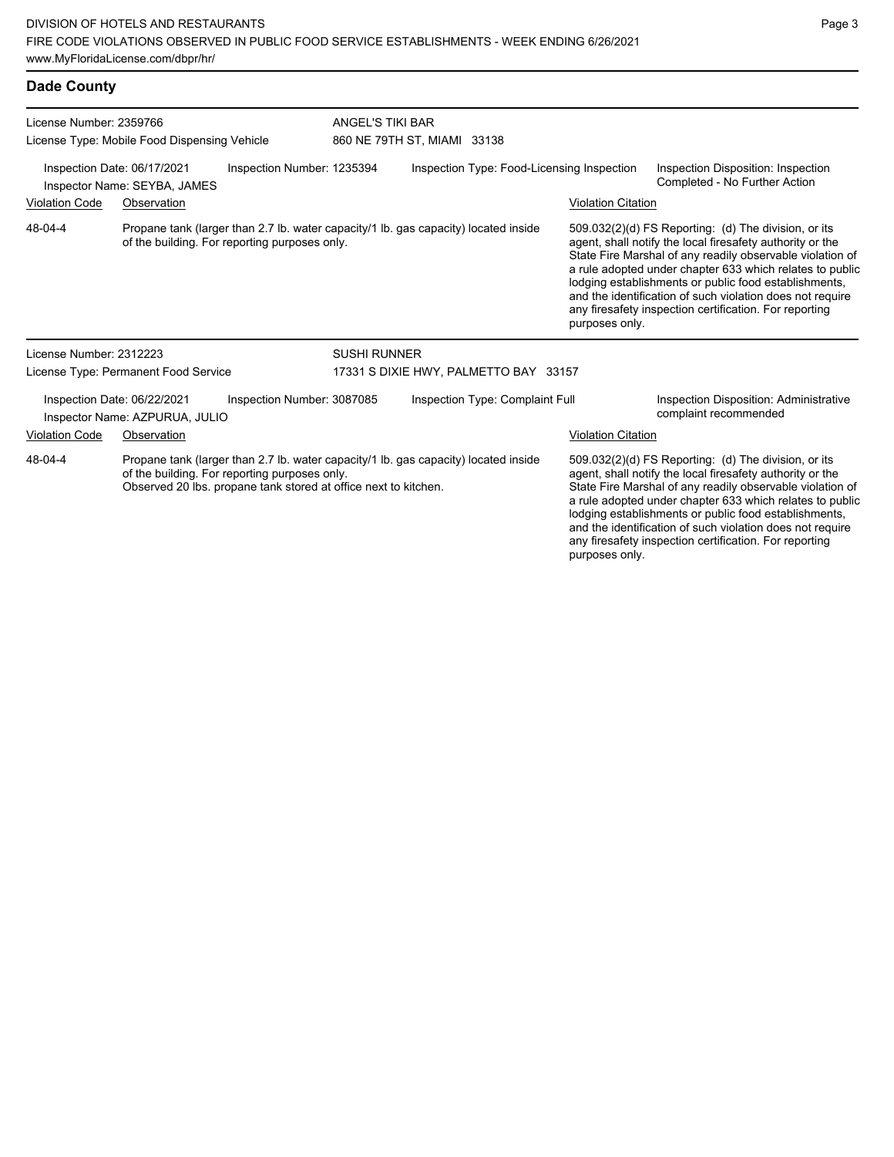## **Dade County**

| License Number: 2359766<br>License Type: Mobile Food Dispensing Vehicle<br>Inspection Number: 1235394<br>Inspection Date: 06/17/2021<br>Inspector Name: SEYBA, JAMES |                                                               |                                               |                                                                                     | ANGEL'S TIKI BAR<br>860 NE 79TH ST, MIAMI 33138                                     |                                                                                                                                                                                                                                                                                                                                                                                                                            |                                                                                                                                                                                                                                                                                                                                                                                                                            |  |  |
|----------------------------------------------------------------------------------------------------------------------------------------------------------------------|---------------------------------------------------------------|-----------------------------------------------|-------------------------------------------------------------------------------------|-------------------------------------------------------------------------------------|----------------------------------------------------------------------------------------------------------------------------------------------------------------------------------------------------------------------------------------------------------------------------------------------------------------------------------------------------------------------------------------------------------------------------|----------------------------------------------------------------------------------------------------------------------------------------------------------------------------------------------------------------------------------------------------------------------------------------------------------------------------------------------------------------------------------------------------------------------------|--|--|
|                                                                                                                                                                      |                                                               |                                               |                                                                                     | Inspection Type: Food-Licensing Inspection                                          | Inspection Disposition: Inspection<br>Completed - No Further Action                                                                                                                                                                                                                                                                                                                                                        |                                                                                                                                                                                                                                                                                                                                                                                                                            |  |  |
| <b>Violation Code</b>                                                                                                                                                | Observation                                                   |                                               |                                                                                     |                                                                                     | <b>Violation Citation</b>                                                                                                                                                                                                                                                                                                                                                                                                  |                                                                                                                                                                                                                                                                                                                                                                                                                            |  |  |
| 48-04-4                                                                                                                                                              |                                                               | of the building. For reporting purposes only. |                                                                                     | Propane tank (larger than 2.7 lb. water capacity/1 lb. gas capacity) located inside | purposes only.                                                                                                                                                                                                                                                                                                                                                                                                             | 509.032(2)(d) FS Reporting: (d) The division, or its<br>agent, shall notify the local firesafety authority or the<br>State Fire Marshal of any readily observable violation of<br>a rule adopted under chapter 633 which relates to public<br>lodging establishments or public food establishments,<br>and the identification of such violation does not require<br>any firesafety inspection certification. For reporting |  |  |
| License Number: 2312223                                                                                                                                              |                                                               | <b>SUSHI RUNNER</b>                           |                                                                                     |                                                                                     |                                                                                                                                                                                                                                                                                                                                                                                                                            |                                                                                                                                                                                                                                                                                                                                                                                                                            |  |  |
| License Type: Permanent Food Service                                                                                                                                 |                                                               |                                               | 17331 S DIXIE HWY, PALMETTO BAY 33157                                               |                                                                                     |                                                                                                                                                                                                                                                                                                                                                                                                                            |                                                                                                                                                                                                                                                                                                                                                                                                                            |  |  |
|                                                                                                                                                                      | Inspection Date: 06/22/2021<br>Inspector Name: AZPURUA, JULIO | Inspection Number: 3087085                    |                                                                                     | Inspection Type: Complaint Full                                                     |                                                                                                                                                                                                                                                                                                                                                                                                                            | Inspection Disposition: Administrative<br>complaint recommended                                                                                                                                                                                                                                                                                                                                                            |  |  |
| <b>Violation Code</b>                                                                                                                                                | Observation                                                   |                                               |                                                                                     |                                                                                     | <b>Violation Citation</b>                                                                                                                                                                                                                                                                                                                                                                                                  |                                                                                                                                                                                                                                                                                                                                                                                                                            |  |  |
| 48-04-4<br>of the building. For reporting purposes only.<br>Observed 20 lbs. propane tank stored at office next to kitchen.                                          |                                                               |                                               | Propane tank (larger than 2.7 lb. water capacity/1 lb. gas capacity) located inside |                                                                                     | 509.032(2)(d) FS Reporting: (d) The division, or its<br>agent, shall notify the local firesafety authority or the<br>State Fire Marshal of any readily observable violation of<br>a rule adopted under chapter 633 which relates to public<br>lodging establishments or public food establishments,<br>and the identification of such violation does not require<br>any firesafety inspection certification. For reporting |                                                                                                                                                                                                                                                                                                                                                                                                                            |  |  |

purposes only.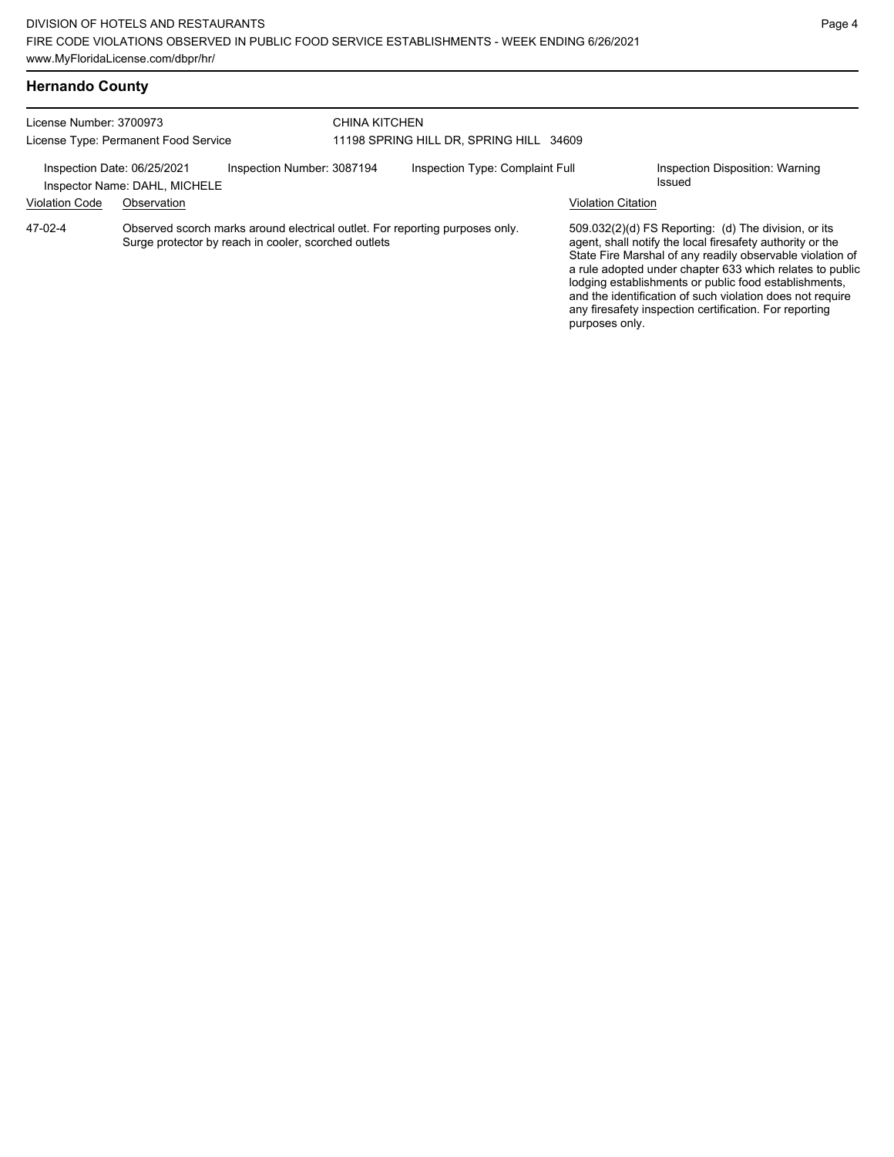| License Number: 3700973                                                                    |             |                                                      | CHINA KITCHEN                           |                                                                              |                           |                                                                                                                                                                                                                                                                                                                                                                                                                            |  |
|--------------------------------------------------------------------------------------------|-------------|------------------------------------------------------|-----------------------------------------|------------------------------------------------------------------------------|---------------------------|----------------------------------------------------------------------------------------------------------------------------------------------------------------------------------------------------------------------------------------------------------------------------------------------------------------------------------------------------------------------------------------------------------------------------|--|
| License Type: Permanent Food Service                                                       |             |                                                      | 11198 SPRING HILL DR, SPRING HILL 34609 |                                                                              |                           |                                                                                                                                                                                                                                                                                                                                                                                                                            |  |
| Inspection Number: 3087194<br>Inspection Date: 06/25/2021<br>Inspector Name: DAHL, MICHELE |             |                                                      | Inspection Type: Complaint Full         |                                                                              |                           | Inspection Disposition: Warning<br>Issued                                                                                                                                                                                                                                                                                                                                                                                  |  |
| <b>Violation Code</b>                                                                      | Observation |                                                      |                                         |                                                                              | <b>Violation Citation</b> |                                                                                                                                                                                                                                                                                                                                                                                                                            |  |
| 47-02-4                                                                                    |             | Surge protector by reach in cooler, scorched outlets |                                         | Observed scorch marks around electrical outlet. For reporting purposes only. | purposes only.            | 509.032(2)(d) FS Reporting: (d) The division, or its<br>agent, shall notify the local firesafety authority or the<br>State Fire Marshal of any readily observable violation of<br>a rule adopted under chapter 633 which relates to public<br>lodging establishments or public food establishments,<br>and the identification of such violation does not require<br>any firesafety inspection certification. For reporting |  |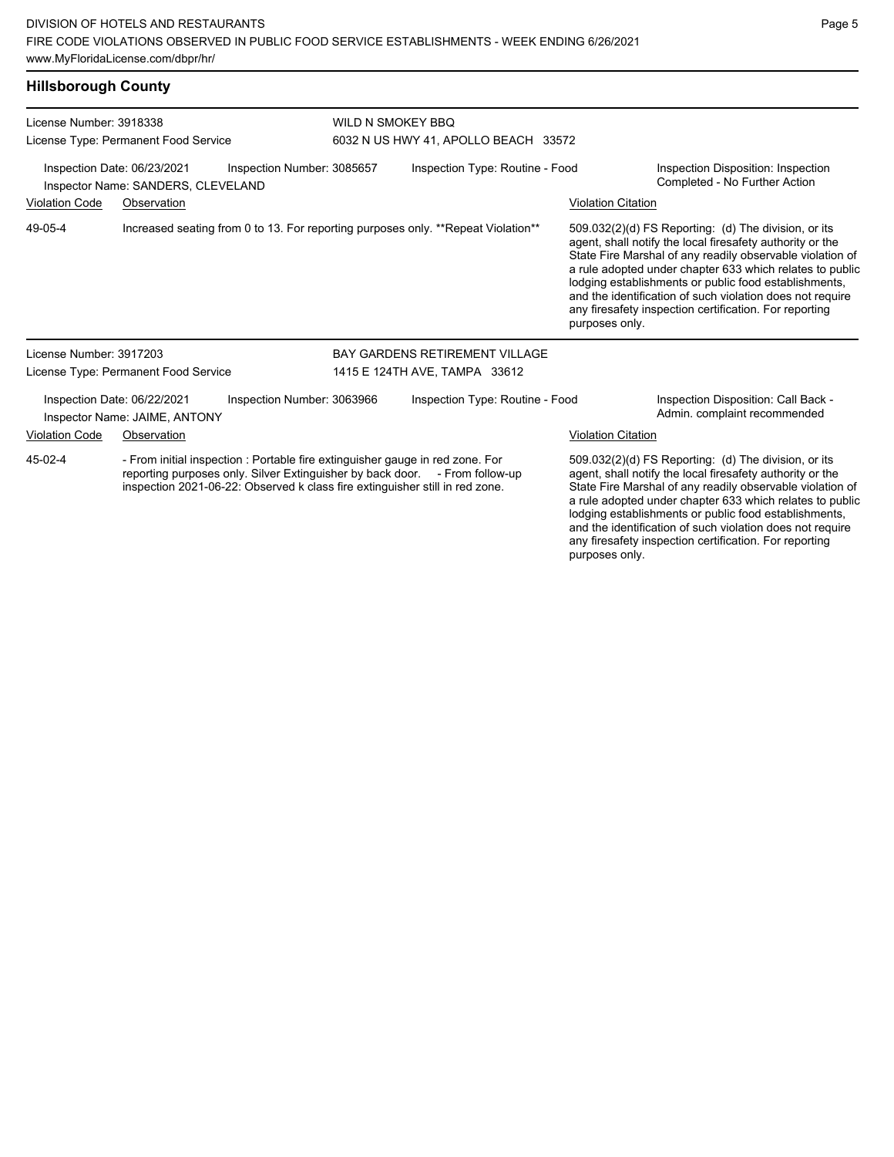## **Hillsborough County**

| License Number: 3918338                                                                                                                                                                                                                                 | License Type: Permanent Food Service                              |                                                                                   | <b>WILD N SMOKEY BBQ</b><br>6032 N US HWY 41, APOLLO BEACH 33572 |                                                                                                                                                                                                                                                                                                                                                                  |                                                                                                                                                                                                                                                                                                                                                                                                                            |  |
|---------------------------------------------------------------------------------------------------------------------------------------------------------------------------------------------------------------------------------------------------------|-------------------------------------------------------------------|-----------------------------------------------------------------------------------|------------------------------------------------------------------|------------------------------------------------------------------------------------------------------------------------------------------------------------------------------------------------------------------------------------------------------------------------------------------------------------------------------------------------------------------|----------------------------------------------------------------------------------------------------------------------------------------------------------------------------------------------------------------------------------------------------------------------------------------------------------------------------------------------------------------------------------------------------------------------------|--|
|                                                                                                                                                                                                                                                         | Inspection Date: 06/23/2021<br>Inspector Name: SANDERS, CLEVELAND | Inspection Number: 3085657                                                        | Inspection Type: Routine - Food                                  |                                                                                                                                                                                                                                                                                                                                                                  | Inspection Disposition: Inspection<br>Completed - No Further Action                                                                                                                                                                                                                                                                                                                                                        |  |
| <b>Violation Code</b>                                                                                                                                                                                                                                   | Observation                                                       |                                                                                   |                                                                  | <b>Violation Citation</b>                                                                                                                                                                                                                                                                                                                                        |                                                                                                                                                                                                                                                                                                                                                                                                                            |  |
| 49-05-4                                                                                                                                                                                                                                                 |                                                                   | Increased seating from 0 to 13. For reporting purposes only. **Repeat Violation** |                                                                  | purposes only.                                                                                                                                                                                                                                                                                                                                                   | 509.032(2)(d) FS Reporting: (d) The division, or its<br>agent, shall notify the local firesafety authority or the<br>State Fire Marshal of any readily observable violation of<br>a rule adopted under chapter 633 which relates to public<br>lodging establishments or public food establishments,<br>and the identification of such violation does not require<br>any firesafety inspection certification. For reporting |  |
| License Number: 3917203                                                                                                                                                                                                                                 |                                                                   |                                                                                   | <b>BAY GARDENS RETIREMENT VILLAGE</b>                            |                                                                                                                                                                                                                                                                                                                                                                  |                                                                                                                                                                                                                                                                                                                                                                                                                            |  |
|                                                                                                                                                                                                                                                         | License Type: Permanent Food Service                              |                                                                                   | 1415 E 124TH AVE, TAMPA 33612                                    |                                                                                                                                                                                                                                                                                                                                                                  |                                                                                                                                                                                                                                                                                                                                                                                                                            |  |
|                                                                                                                                                                                                                                                         | Inspection Date: 06/22/2021<br>Inspector Name: JAIME, ANTONY      | Inspection Number: 3063966                                                        | Inspection Type: Routine - Food                                  |                                                                                                                                                                                                                                                                                                                                                                  | Inspection Disposition: Call Back -<br>Admin. complaint recommended                                                                                                                                                                                                                                                                                                                                                        |  |
| <b>Violation Code</b>                                                                                                                                                                                                                                   | Observation                                                       |                                                                                   |                                                                  | <b>Violation Citation</b>                                                                                                                                                                                                                                                                                                                                        |                                                                                                                                                                                                                                                                                                                                                                                                                            |  |
| 45-02-4<br>- From initial inspection : Portable fire extinguisher gauge in red zone. For<br>reporting purposes only. Silver Extinguisher by back door. - From follow-up<br>inspection 2021-06-22: Observed k class fire extinguisher still in red zone. |                                                                   |                                                                                   |                                                                  | 509.032(2)(d) FS Reporting: (d) The division, or its<br>agent, shall notify the local firesafety authority or the<br>State Fire Marshal of any readily observable violation of<br>a rule adopted under chapter 633 which relates to public<br>lodging establishments or public food establishments,<br>and the identification of such violation does not require |                                                                                                                                                                                                                                                                                                                                                                                                                            |  |

any firesafety inspection certification. For reporting

purposes only.